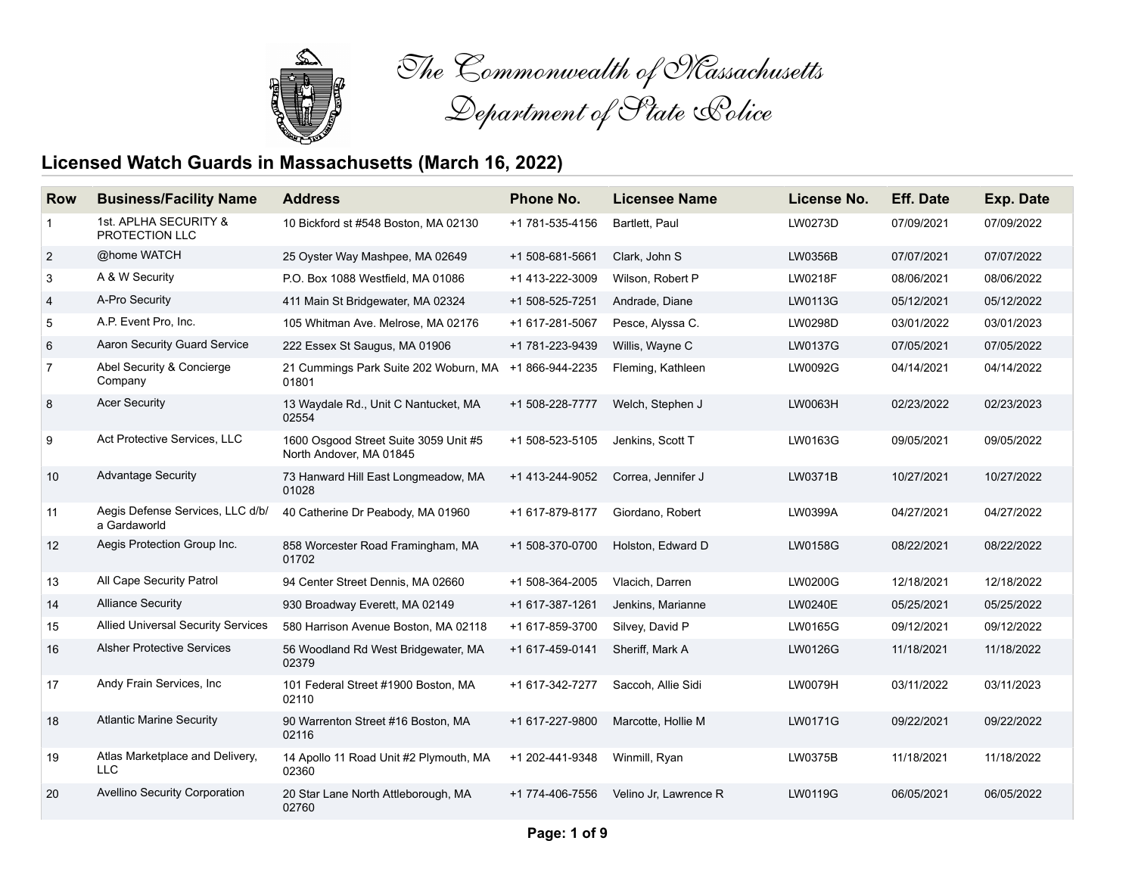

*The Commonwealth of Massachusetts Department of State Police*

## **Licensed Watch Guards in Massachusetts (March 16, 2022)**

| <b>Row</b>     | <b>Business/Facility Name</b>                    | <b>Address</b>                                                   | Phone No.       | <b>Licensee Name</b>  | License No.    | <b>Eff. Date</b> | <b>Exp. Date</b> |
|----------------|--------------------------------------------------|------------------------------------------------------------------|-----------------|-----------------------|----------------|------------------|------------------|
| 1              | 1st. APLHA SECURITY &<br>PROTECTION LLC          | 10 Bickford st #548 Boston, MA 02130                             | +1 781-535-4156 | Bartlett, Paul        | LW0273D        | 07/09/2021       | 07/09/2022       |
| $\overline{2}$ | @home WATCH                                      | 25 Oyster Way Mashpee, MA 02649                                  | +1 508-681-5661 | Clark, John S         | LW0356B        | 07/07/2021       | 07/07/2022       |
| 3              | A & W Security                                   | P.O. Box 1088 Westfield, MA 01086                                | +1 413-222-3009 | Wilson, Robert P      | LW0218F        | 08/06/2021       | 08/06/2022       |
| 4              | A-Pro Security                                   | 411 Main St Bridgewater, MA 02324                                | +1 508-525-7251 | Andrade, Diane        | LW0113G        | 05/12/2021       | 05/12/2022       |
| 5              | A.P. Event Pro, Inc.                             | 105 Whitman Ave. Melrose. MA 02176                               | +1 617-281-5067 | Pesce, Alyssa C.      | LW0298D        | 03/01/2022       | 03/01/2023       |
| 6              | Aaron Security Guard Service                     | 222 Essex St Saugus, MA 01906                                    | +1 781-223-9439 | Willis, Wayne C       | LW0137G        | 07/05/2021       | 07/05/2022       |
| $\overline{7}$ | Abel Security & Concierge<br>Company             | 21 Cummings Park Suite 202 Woburn, MA +1 866-944-2235<br>01801   |                 | Fleming, Kathleen     | LW0092G        | 04/14/2021       | 04/14/2022       |
| 8              | <b>Acer Security</b>                             | 13 Waydale Rd., Unit C Nantucket, MA<br>02554                    | +1 508-228-7777 | Welch, Stephen J      | LW0063H        | 02/23/2022       | 02/23/2023       |
| 9              | Act Protective Services, LLC                     | 1600 Osgood Street Suite 3059 Unit #5<br>North Andover, MA 01845 | +1 508-523-5105 | Jenkins, Scott T      | LW0163G        | 09/05/2021       | 09/05/2022       |
| $10$           | <b>Advantage Security</b>                        | 73 Hanward Hill East Longmeadow, MA<br>01028                     | +1 413-244-9052 | Correa, Jennifer J    | LW0371B        | 10/27/2021       | 10/27/2022       |
| 11             | Aegis Defense Services, LLC d/b/<br>a Gardaworld | 40 Catherine Dr Peabody, MA 01960                                | +1 617-879-8177 | Giordano, Robert      | LW0399A        | 04/27/2021       | 04/27/2022       |
| 12             | Aegis Protection Group Inc.                      | 858 Worcester Road Framingham, MA<br>01702                       | +1 508-370-0700 | Holston, Edward D     | <b>LW0158G</b> | 08/22/2021       | 08/22/2022       |
| 13             | All Cape Security Patrol                         | 94 Center Street Dennis, MA 02660                                | +1 508-364-2005 | Vlacich, Darren       | LW0200G        | 12/18/2021       | 12/18/2022       |
| 14             | <b>Alliance Security</b>                         | 930 Broadway Everett, MA 02149                                   | +1 617-387-1261 | Jenkins, Marianne     | LW0240E        | 05/25/2021       | 05/25/2022       |
| 15             | <b>Allied Universal Security Services</b>        | 580 Harrison Avenue Boston, MA 02118                             | +1 617-859-3700 | Silvey, David P       | <b>LW0165G</b> | 09/12/2021       | 09/12/2022       |
| 16             | <b>Alsher Protective Services</b>                | 56 Woodland Rd West Bridgewater, MA<br>02379                     | +1 617-459-0141 | Sheriff, Mark A       | LW0126G        | 11/18/2021       | 11/18/2022       |
| 17             | Andy Frain Services, Inc.                        | 101 Federal Street #1900 Boston, MA<br>02110                     | +1 617-342-7277 | Saccoh, Allie Sidi    | LW0079H        | 03/11/2022       | 03/11/2023       |
| 18             | <b>Atlantic Marine Security</b>                  | 90 Warrenton Street #16 Boston, MA<br>02116                      | +1 617-227-9800 | Marcotte, Hollie M    | LW0171G        | 09/22/2021       | 09/22/2022       |
| 19             | Atlas Marketplace and Delivery,<br><b>LLC</b>    | 14 Apollo 11 Road Unit #2 Plymouth, MA<br>02360                  | +1 202-441-9348 | Winmill, Ryan         | LW0375B        | 11/18/2021       | 11/18/2022       |
| 20             | Avellino Security Corporation                    | 20 Star Lane North Attleborough, MA<br>02760                     | +1 774-406-7556 | Velino Jr. Lawrence R | <b>LW0119G</b> | 06/05/2021       | 06/05/2022       |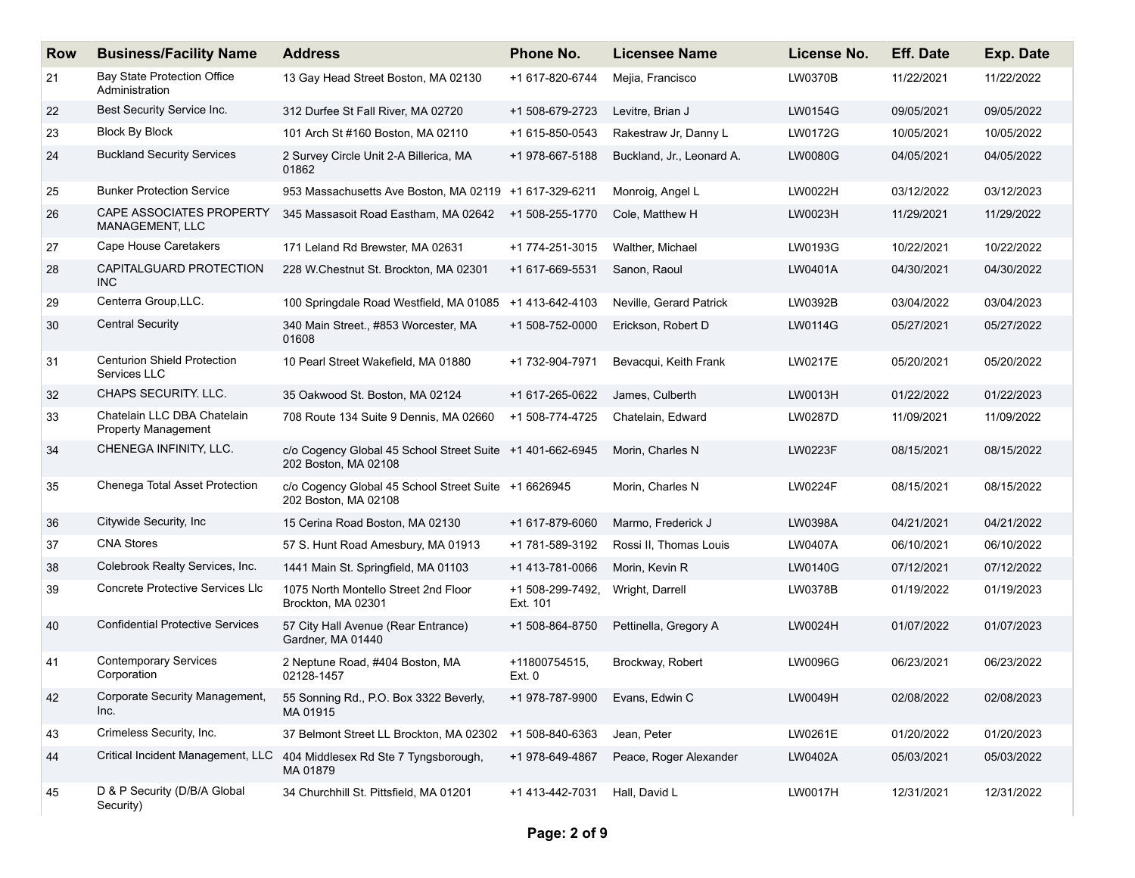| <b>Row</b> | <b>Business/Facility Name</b>                             | <b>Address</b>                                                                    | <b>Phone No.</b>             | <b>Licensee Name</b>      | License No.    | <b>Eff. Date</b> | Exp. Date  |
|------------|-----------------------------------------------------------|-----------------------------------------------------------------------------------|------------------------------|---------------------------|----------------|------------------|------------|
| 21         | <b>Bay State Protection Office</b><br>Administration      | 13 Gay Head Street Boston, MA 02130                                               | +1 617-820-6744              | Mejia, Francisco          | LW0370B        | 11/22/2021       | 11/22/2022 |
| 22         | Best Security Service Inc.                                | 312 Durfee St Fall River, MA 02720                                                | +1 508-679-2723              | Levitre, Brian J          | LW0154G        | 09/05/2021       | 09/05/2022 |
| 23         | <b>Block By Block</b>                                     | 101 Arch St #160 Boston, MA 02110                                                 | +1 615-850-0543              | Rakestraw Jr, Danny L     | <b>LW0172G</b> | 10/05/2021       | 10/05/2022 |
| 24         | <b>Buckland Security Services</b>                         | 2 Survey Circle Unit 2-A Billerica, MA<br>01862                                   | +1 978-667-5188              | Buckland, Jr., Leonard A. | <b>LW0080G</b> | 04/05/2021       | 04/05/2022 |
| 25         | <b>Bunker Protection Service</b>                          | 953 Massachusetts Ave Boston, MA 02119 +1 617-329-6211                            |                              | Monroig, Angel L          | LW0022H        | 03/12/2022       | 03/12/2023 |
| 26         | CAPE ASSOCIATES PROPERTY<br><b>MANAGEMENT, LLC</b>        | 345 Massasoit Road Eastham, MA 02642                                              | +1 508-255-1770              | Cole. Matthew H           | LW0023H        | 11/29/2021       | 11/29/2022 |
| 27         | Cape House Caretakers                                     | 171 Leland Rd Brewster, MA 02631                                                  | +1 774-251-3015              | Walther, Michael          | LW0193G        | 10/22/2021       | 10/22/2022 |
| 28         | CAPITALGUARD PROTECTION<br>INC.                           | 228 W.Chestnut St. Brockton, MA 02301                                             | +1 617-669-5531              | Sanon, Raoul              | LW0401A        | 04/30/2021       | 04/30/2022 |
| 29         | Centerra Group, LLC.                                      | 100 Springdale Road Westfield, MA 01085                                           | +1 413-642-4103              | Neville, Gerard Patrick   | LW0392B        | 03/04/2022       | 03/04/2023 |
| 30         | <b>Central Security</b>                                   | 340 Main Street., #853 Worcester, MA<br>01608                                     | +1 508-752-0000              | Erickson, Robert D        | LW0114G        | 05/27/2021       | 05/27/2022 |
| 31         | <b>Centurion Shield Protection</b><br>Services LLC        | 10 Pearl Street Wakefield, MA 01880                                               | +1 732-904-7971              | Bevacqui, Keith Frank     | LW0217E        | 05/20/2021       | 05/20/2022 |
| 32         | <b>CHAPS SECURITY, LLC.</b>                               | 35 Oakwood St. Boston, MA 02124                                                   | +1 617-265-0622              | James, Culberth           | LW0013H        | 01/22/2022       | 01/22/2023 |
| 33         | Chatelain LLC DBA Chatelain<br><b>Property Management</b> | 708 Route 134 Suite 9 Dennis, MA 02660                                            | +1 508-774-4725              | Chatelain, Edward         | LW0287D        | 11/09/2021       | 11/09/2022 |
| 34         | CHENEGA INFINITY, LLC.                                    | c/o Cogency Global 45 School Street Suite +1 401-662-6945<br>202 Boston, MA 02108 |                              | Morin, Charles N          | LW0223F        | 08/15/2021       | 08/15/2022 |
| 35         | Chenega Total Asset Protection                            | c/o Cogency Global 45 School Street Suite +1 6626945<br>202 Boston, MA 02108      |                              | Morin, Charles N          | <b>LW0224F</b> | 08/15/2021       | 08/15/2022 |
| 36         | Citywide Security, Inc.                                   | 15 Cerina Road Boston, MA 02130                                                   | +1 617-879-6060              | Marmo, Frederick J        | LW0398A        | 04/21/2021       | 04/21/2022 |
| 37         | <b>CNA Stores</b>                                         | 57 S. Hunt Road Amesbury, MA 01913                                                | +1 781-589-3192              | Rossi II, Thomas Louis    | LW0407A        | 06/10/2021       | 06/10/2022 |
| 38         | Colebrook Realty Services, Inc.                           | 1441 Main St. Springfield, MA 01103                                               | +1 413-781-0066              | Morin, Kevin R            | <b>LW0140G</b> | 07/12/2021       | 07/12/2022 |
| 39         | <b>Concrete Protective Services LIc</b>                   | 1075 North Montello Street 2nd Floor<br>Brockton, MA 02301                        | +1 508-299-7492,<br>Ext. 101 | Wright, Darrell           | LW0378B        | 01/19/2022       | 01/19/2023 |
| 40         | <b>Confidential Protective Services</b>                   | 57 City Hall Avenue (Rear Entrance)<br>Gardner, MA 01440                          | +1 508-864-8750              | Pettinella, Gregory A     | LW0024H        | 01/07/2022       | 01/07/2023 |
| 41         | <b>Contemporary Services</b><br>Corporation               | 2 Neptune Road, #404 Boston, MA<br>02128-1457                                     | +11800754515,<br>Ext. 0      | Brockway, Robert          | LW0096G        | 06/23/2021       | 06/23/2022 |
| 42         | Corporate Security Management,<br>Inc.                    | 55 Sonning Rd., P.O. Box 3322 Beverly,<br>MA 01915                                | +1 978-787-9900              | Evans, Edwin C            | LW0049H        | 02/08/2022       | 02/08/2023 |
| 43         | Crimeless Security, Inc.                                  | 37 Belmont Street LL Brockton, MA 02302                                           | +1 508-840-6363              | Jean, Peter               | LW0261E        | 01/20/2022       | 01/20/2023 |
| 44         | Critical Incident Management, LLC                         | 404 Middlesex Rd Ste 7 Tyngsborough,<br>MA 01879                                  | +1 978-649-4867              | Peace, Roger Alexander    | LW0402A        | 05/03/2021       | 05/03/2022 |
| 45         | D & P Security (D/B/A Global<br>Security)                 | 34 Churchhill St. Pittsfield, MA 01201                                            | +1 413-442-7031              | Hall, David L             | LW0017H        | 12/31/2021       | 12/31/2022 |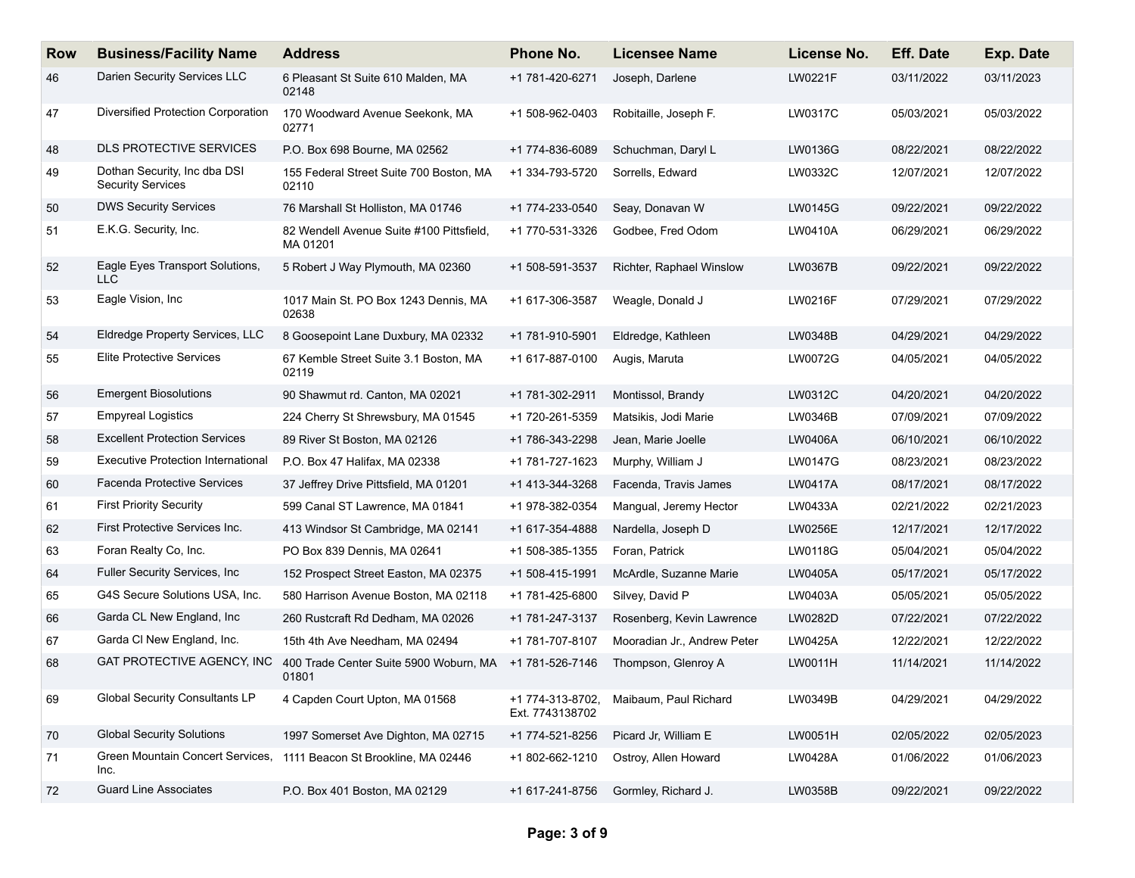| <b>Row</b> | <b>Business/Facility Name</b>                            | <b>Address</b>                                       | Phone No.                           | <b>Licensee Name</b>        | License No.    | <b>Eff. Date</b> | Exp. Date  |
|------------|----------------------------------------------------------|------------------------------------------------------|-------------------------------------|-----------------------------|----------------|------------------|------------|
| 46         | Darien Security Services LLC                             | 6 Pleasant St Suite 610 Malden, MA<br>02148          | +1 781-420-6271                     | Joseph, Darlene             | LW0221F        | 03/11/2022       | 03/11/2023 |
| 47         | Diversified Protection Corporation                       | 170 Woodward Avenue Seekonk, MA<br>02771             | +1 508-962-0403                     | Robitaille, Joseph F.       | LW0317C        | 05/03/2021       | 05/03/2022 |
| 48         | <b>DLS PROTECTIVE SERVICES</b>                           | P.O. Box 698 Bourne, MA 02562                        | +1 774-836-6089                     | Schuchman, Daryl L          | LW0136G        | 08/22/2021       | 08/22/2022 |
| 49         | Dothan Security, Inc dba DSI<br><b>Security Services</b> | 155 Federal Street Suite 700 Boston, MA<br>02110     | +1 334-793-5720                     | Sorrells, Edward            | LW0332C        | 12/07/2021       | 12/07/2022 |
| 50         | <b>DWS Security Services</b>                             | 76 Marshall St Holliston, MA 01746                   | +1 774-233-0540                     | Seav, Donavan W             | <b>LW0145G</b> | 09/22/2021       | 09/22/2022 |
| 51         | E.K.G. Security, Inc.                                    | 82 Wendell Avenue Suite #100 Pittsfield,<br>MA 01201 | +1 770-531-3326                     | Godbee, Fred Odom           | LW0410A        | 06/29/2021       | 06/29/2022 |
| 52         | Eagle Eyes Transport Solutions,<br>LLC.                  | 5 Robert J Way Plymouth, MA 02360                    | +1 508-591-3537                     | Richter, Raphael Winslow    | LW0367B        | 09/22/2021       | 09/22/2022 |
| 53         | Eagle Vision, Inc.                                       | 1017 Main St. PO Box 1243 Dennis, MA<br>02638        | +1 617-306-3587                     | Weagle, Donald J            | LW0216F        | 07/29/2021       | 07/29/2022 |
| 54         | Eldredge Property Services, LLC                          | 8 Goosepoint Lane Duxbury, MA 02332                  | +1 781-910-5901                     | Eldredge, Kathleen          | LW0348B        | 04/29/2021       | 04/29/2022 |
| 55         | <b>Elite Protective Services</b>                         | 67 Kemble Street Suite 3.1 Boston, MA<br>02119       | +1 617-887-0100                     | Augis, Maruta               | LW0072G        | 04/05/2021       | 04/05/2022 |
| 56         | <b>Emergent Biosolutions</b>                             | 90 Shawmut rd. Canton, MA 02021                      | +1 781-302-2911                     | Montissol, Brandy           | LW0312C        | 04/20/2021       | 04/20/2022 |
| 57         | <b>Empyreal Logistics</b>                                | 224 Cherry St Shrewsbury, MA 01545                   | +1 720-261-5359                     | Matsikis, Jodi Marie        | LW0346B        | 07/09/2021       | 07/09/2022 |
| 58         | <b>Excellent Protection Services</b>                     | 89 River St Boston, MA 02126                         | +1 786-343-2298                     | Jean, Marie Joelle          | LW0406A        | 06/10/2021       | 06/10/2022 |
| 59         | <b>Executive Protection International</b>                | P.O. Box 47 Halifax, MA 02338                        | +1 781-727-1623                     | Murphy, William J           | <b>LW0147G</b> | 08/23/2021       | 08/23/2022 |
| 60         | Facenda Protective Services                              | 37 Jeffrey Drive Pittsfield, MA 01201                | +1 413-344-3268                     | Facenda, Travis James       | LW0417A        | 08/17/2021       | 08/17/2022 |
| 61         | <b>First Priority Security</b>                           | 599 Canal ST Lawrence, MA 01841                      | +1 978-382-0354                     | Mangual, Jeremy Hector      | LW0433A        | 02/21/2022       | 02/21/2023 |
| 62         | First Protective Services Inc.                           | 413 Windsor St Cambridge, MA 02141                   | +1 617-354-4888                     | Nardella, Joseph D          | LW0256E        | 12/17/2021       | 12/17/2022 |
| 63         | Foran Realty Co, Inc.                                    | PO Box 839 Dennis, MA 02641                          | +1 508-385-1355                     | Foran, Patrick              | LW0118G        | 05/04/2021       | 05/04/2022 |
| 64         | Fuller Security Services, Inc.                           | 152 Prospect Street Easton, MA 02375                 | +1 508-415-1991                     | McArdle, Suzanne Marie      | LW0405A        | 05/17/2021       | 05/17/2022 |
| 65         | G4S Secure Solutions USA, Inc.                           | 580 Harrison Avenue Boston, MA 02118                 | +1 781-425-6800                     | Silvey, David P             | LW0403A        | 05/05/2021       | 05/05/2022 |
| 66         | Garda CL New England, Inc.                               | 260 Rustcraft Rd Dedham, MA 02026                    | +1 781-247-3137                     | Rosenberg, Kevin Lawrence   | LW0282D        | 07/22/2021       | 07/22/2022 |
| 67         | Garda CI New England, Inc.                               | 15th 4th Ave Needham, MA 02494                       | +1 781-707-8107                     | Mooradian Jr., Andrew Peter | LW0425A        | 12/22/2021       | 12/22/2022 |
| 68         | GAT PROTECTIVE AGENCY, INC                               | 400 Trade Center Suite 5900 Woburn, MA<br>01801      | +1 781-526-7146                     | Thompson, Glenroy A         | LW0011H        | 11/14/2021       | 11/14/2022 |
| 69         | <b>Global Security Consultants LP</b>                    | 4 Capden Court Upton, MA 01568                       | +1 774-313-8702,<br>Ext. 7743138702 | Maibaum, Paul Richard       | LW0349B        | 04/29/2021       | 04/29/2022 |
| 70         | <b>Global Security Solutions</b>                         | 1997 Somerset Ave Dighton, MA 02715                  | +1 774-521-8256                     | Picard Jr, William E        | LW0051H        | 02/05/2022       | 02/05/2023 |
| 71         | Green Mountain Concert Services,<br>Inc.                 | 1111 Beacon St Brookline, MA 02446                   | +1 802-662-1210                     | Ostroy, Allen Howard        | LW0428A        | 01/06/2022       | 01/06/2023 |
| 72         | <b>Guard Line Associates</b>                             | P.O. Box 401 Boston, MA 02129                        | +1 617-241-8756                     | Gormley, Richard J.         | LW0358B        | 09/22/2021       | 09/22/2022 |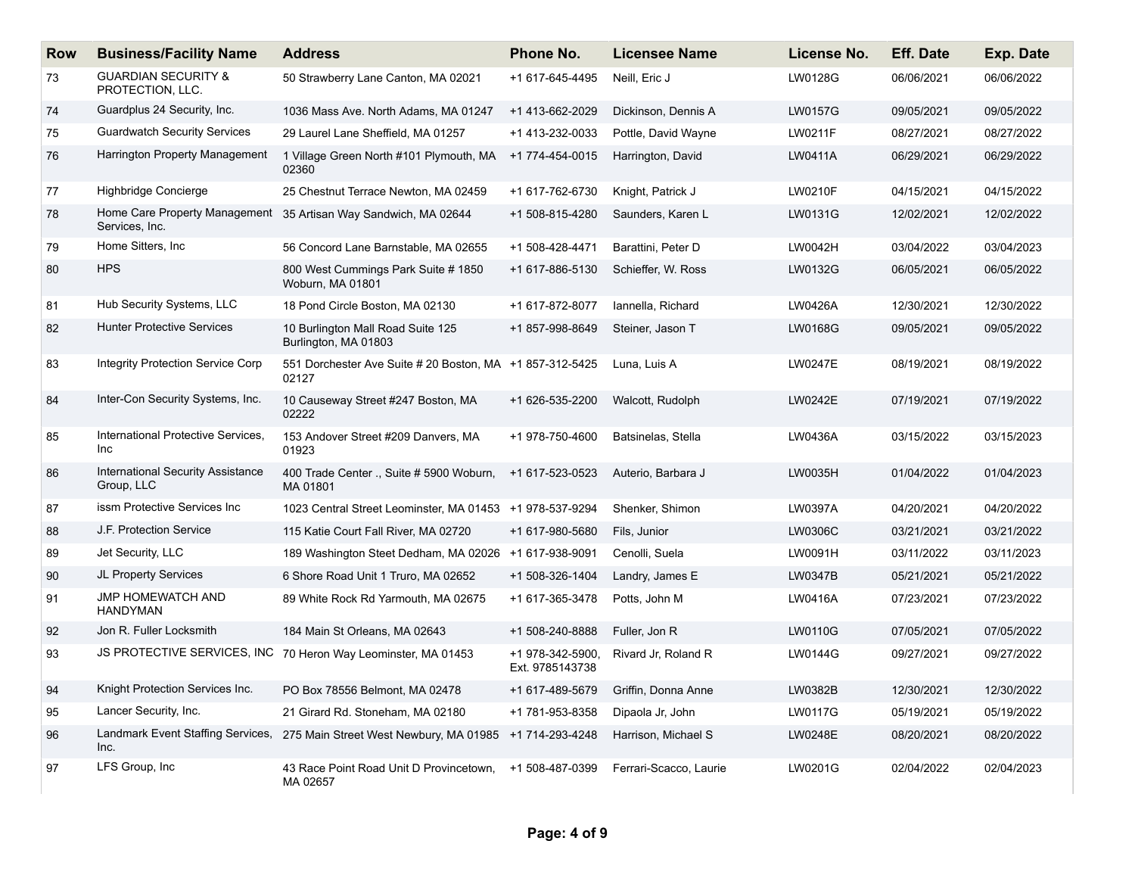| <b>Row</b> | <b>Business/Facility Name</b>                          | <b>Address</b>                                                    | <b>Phone No.</b>                    | <b>Licensee Name</b>   | License No.    | <b>Eff. Date</b> | Exp. Date  |
|------------|--------------------------------------------------------|-------------------------------------------------------------------|-------------------------------------|------------------------|----------------|------------------|------------|
| 73         | <b>GUARDIAN SECURITY &amp;</b><br>PROTECTION, LLC.     | 50 Strawberry Lane Canton, MA 02021                               | +1 617-645-4495                     | Neill, Eric J          | LW0128G        | 06/06/2021       | 06/06/2022 |
| 74         | Guardplus 24 Security, Inc.                            | 1036 Mass Ave. North Adams, MA 01247                              | +1 413-662-2029                     | Dickinson, Dennis A    | LW0157G        | 09/05/2021       | 09/05/2022 |
| 75         | <b>Guardwatch Security Services</b>                    | 29 Laurel Lane Sheffield, MA 01257                                | +1 413-232-0033                     | Pottle, David Wayne    | LW0211F        | 08/27/2021       | 08/27/2022 |
| 76         | Harrington Property Management                         | 1 Village Green North #101 Plymouth, MA<br>02360                  | +1 774-454-0015                     | Harrington, David      | LW0411A        | 06/29/2021       | 06/29/2022 |
| 77         | Highbridge Concierge                                   | 25 Chestnut Terrace Newton, MA 02459                              | +1 617-762-6730                     | Knight, Patrick J      | LW0210F        | 04/15/2021       | 04/15/2022 |
| 78         | Home Care Property Management<br>Services, Inc.        | 35 Artisan Way Sandwich, MA 02644                                 | +1 508-815-4280                     | Saunders, Karen L      | LW0131G        | 12/02/2021       | 12/02/2022 |
| 79         | Home Sitters, Inc.                                     | 56 Concord Lane Barnstable, MA 02655                              | +1 508-428-4471                     | Barattini, Peter D     | LW0042H        | 03/04/2022       | 03/04/2023 |
| 80         | <b>HPS</b>                                             | 800 West Cummings Park Suite # 1850<br>Woburn, MA 01801           | +1 617-886-5130                     | Schieffer, W. Ross     | LW0132G        | 06/05/2021       | 06/05/2022 |
| 81         | Hub Security Systems, LLC                              | 18 Pond Circle Boston, MA 02130                                   | +1 617-872-8077                     | Iannella, Richard      | LW0426A        | 12/30/2021       | 12/30/2022 |
| 82         | <b>Hunter Protective Services</b>                      | 10 Burlington Mall Road Suite 125<br>Burlington, MA 01803         | +1 857-998-8649                     | Steiner, Jason T       | LW0168G        | 09/05/2021       | 09/05/2022 |
| 83         | Integrity Protection Service Corp                      | 551 Dorchester Ave Suite # 20 Boston, MA +1 857-312-5425<br>02127 |                                     | Luna, Luis A           | LW0247E        | 08/19/2021       | 08/19/2022 |
| 84         | Inter-Con Security Systems, Inc.                       | 10 Causeway Street #247 Boston, MA<br>02222                       | +1 626-535-2200                     | Walcott, Rudolph       | LW0242E        | 07/19/2021       | 07/19/2022 |
| 85         | International Protective Services,<br>Inc              | 153 Andover Street #209 Danvers, MA<br>01923                      | +1 978-750-4600                     | Batsinelas, Stella     | LW0436A        | 03/15/2022       | 03/15/2023 |
| 86         | <b>International Security Assistance</b><br>Group, LLC | 400 Trade Center ., Suite # 5900 Woburn,<br>MA 01801              | +1 617-523-0523                     | Auterio, Barbara J     | LW0035H        | 01/04/2022       | 01/04/2023 |
| 87         | issm Protective Services Inc                           | 1023 Central Street Leominster, MA 01453                          | +1 978-537-9294                     | Shenker, Shimon        | LW0397A        | 04/20/2021       | 04/20/2022 |
| 88         | J.F. Protection Service                                | 115 Katie Court Fall River, MA 02720                              | +1 617-980-5680                     | Fils, Junior           | LW0306C        | 03/21/2021       | 03/21/2022 |
| 89         | Jet Security, LLC                                      | 189 Washington Steet Dedham, MA 02026                             | +1 617-938-9091                     | Cenolli, Suela         | LW0091H        | 03/11/2022       | 03/11/2023 |
| 90         | JL Property Services                                   | 6 Shore Road Unit 1 Truro, MA 02652                               | +1 508-326-1404                     | Landry, James E        | LW0347B        | 05/21/2021       | 05/21/2022 |
| 91         | JMP HOMEWATCH AND<br><b>HANDYMAN</b>                   | 89 White Rock Rd Yarmouth, MA 02675                               | +1 617-365-3478                     | Potts, John M          | LW0416A        | 07/23/2021       | 07/23/2022 |
| 92         | Jon R. Fuller Locksmith                                | 184 Main St Orleans, MA 02643                                     | +1 508-240-8888                     | Fuller, Jon R          | <b>LW0110G</b> | 07/05/2021       | 07/05/2022 |
| 93         | JS PROTECTIVE SERVICES, INC                            | 70 Heron Way Leominster, MA 01453                                 | +1 978-342-5900,<br>Ext. 9785143738 | Rivard Jr, Roland R    | LW0144G        | 09/27/2021       | 09/27/2022 |
| 94         | Knight Protection Services Inc.                        | PO Box 78556 Belmont, MA 02478                                    | +1 617-489-5679                     | Griffin, Donna Anne    | LW0382B        | 12/30/2021       | 12/30/2022 |
| 95         | Lancer Security, Inc.                                  | 21 Girard Rd. Stoneham, MA 02180                                  | +1 781-953-8358                     | Dipaola Jr, John       | LW0117G        | 05/19/2021       | 05/19/2022 |
| 96         | Landmark Event Staffing Services,<br>Inc.              | 275 Main Street West Newbury, MA 01985                            | +1 714-293-4248                     | Harrison, Michael S    | LW0248E        | 08/20/2021       | 08/20/2022 |
| 97         | LFS Group, Inc                                         | 43 Race Point Road Unit D Provincetown,<br>MA 02657               | +1 508-487-0399                     | Ferrari-Scacco, Laurie | LW0201G        | 02/04/2022       | 02/04/2023 |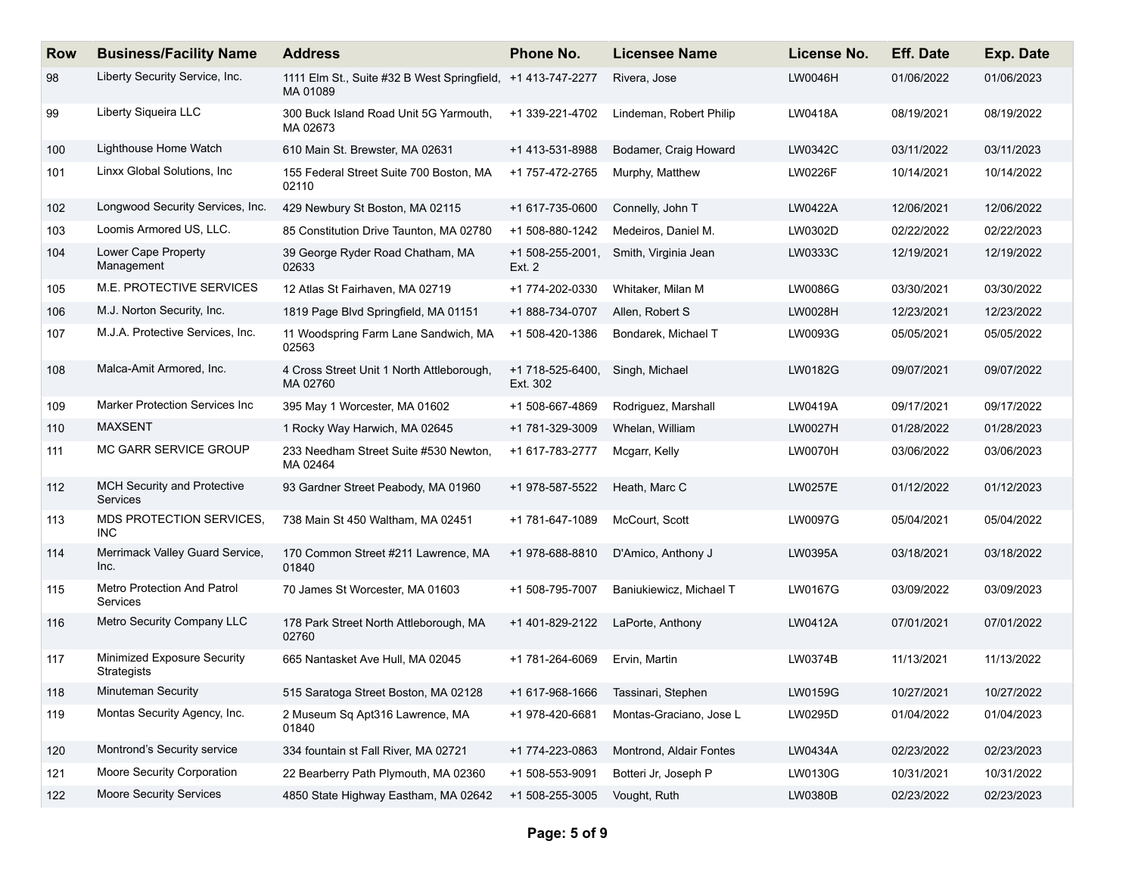| <b>Row</b> | <b>Business/Facility Name</b>                     | <b>Address</b>                                                          | Phone No.                    | <b>Licensee Name</b>    | License No.    | <b>Eff. Date</b> | <b>Exp. Date</b> |
|------------|---------------------------------------------------|-------------------------------------------------------------------------|------------------------------|-------------------------|----------------|------------------|------------------|
| 98         | Liberty Security Service, Inc.                    | 1111 Elm St., Suite #32 B West Springfield, +1 413-747-2277<br>MA 01089 |                              | Rivera, Jose            | LW0046H        | 01/06/2022       | 01/06/2023       |
| 99         | Liberty Siqueira LLC                              | 300 Buck Island Road Unit 5G Yarmouth,<br>MA 02673                      | +1 339-221-4702              | Lindeman, Robert Philip | LW0418A        | 08/19/2021       | 08/19/2022       |
| 100        | Lighthouse Home Watch                             | 610 Main St. Brewster, MA 02631                                         | +1 413-531-8988              | Bodamer, Craig Howard   | LW0342C        | 03/11/2022       | 03/11/2023       |
| 101        | Linxx Global Solutions, Inc.                      | 155 Federal Street Suite 700 Boston, MA<br>02110                        | +1 757-472-2765              | Murphy, Matthew         | <b>LW0226F</b> | 10/14/2021       | 10/14/2022       |
| 102        | Longwood Security Services, Inc.                  | 429 Newbury St Boston, MA 02115                                         | +1 617-735-0600              | Connelly, John T        | LW0422A        | 12/06/2021       | 12/06/2022       |
| 103        | Loomis Armored US, LLC.                           | 85 Constitution Drive Taunton, MA 02780                                 | +1 508-880-1242              | Medeiros, Daniel M.     | LW0302D        | 02/22/2022       | 02/22/2023       |
| 104        | Lower Cape Property<br>Management                 | 39 George Ryder Road Chatham, MA<br>02633                               | +1 508-255-2001,<br>Ext. 2   | Smith, Virginia Jean    | LW0333C        | 12/19/2021       | 12/19/2022       |
| 105        | M.E. PROTECTIVE SERVICES                          | 12 Atlas St Fairhaven, MA 02719                                         | +1 774-202-0330              | Whitaker, Milan M       | LW0086G        | 03/30/2021       | 03/30/2022       |
| 106        | M.J. Norton Security, Inc.                        | 1819 Page Blvd Springfield, MA 01151                                    | +1 888-734-0707              | Allen, Robert S         | LW0028H        | 12/23/2021       | 12/23/2022       |
| 107        | M.J.A. Protective Services, Inc.                  | 11 Woodspring Farm Lane Sandwich, MA<br>02563                           | +1 508-420-1386              | Bondarek, Michael T     | LW0093G        | 05/05/2021       | 05/05/2022       |
| 108        | Malca-Amit Armored, Inc.                          | 4 Cross Street Unit 1 North Attleborough,<br>MA 02760                   | +1 718-525-6400,<br>Ext. 302 | Singh, Michael          | LW0182G        | 09/07/2021       | 09/07/2022       |
| 109        | Marker Protection Services Inc                    | 395 May 1 Worcester, MA 01602                                           | +1 508-667-4869              | Rodriguez, Marshall     | LW0419A        | 09/17/2021       | 09/17/2022       |
| 110        | <b>MAXSENT</b>                                    | 1 Rocky Way Harwich, MA 02645                                           | +1 781-329-3009              | Whelan, William         | LW0027H        | 01/28/2022       | 01/28/2023       |
| 111        | MC GARR SERVICE GROUP                             | 233 Needham Street Suite #530 Newton,<br>MA 02464                       | +1 617-783-2777              | Mcgarr, Kelly           | LW0070H        | 03/06/2022       | 03/06/2023       |
| 112        | <b>MCH Security and Protective</b><br>Services    | 93 Gardner Street Peabody, MA 01960                                     | +1 978-587-5522              | Heath, Marc C           | <b>LW0257E</b> | 01/12/2022       | 01/12/2023       |
| 113        | MDS PROTECTION SERVICES,<br><b>INC</b>            | 738 Main St 450 Waltham, MA 02451                                       | +1 781-647-1089              | McCourt, Scott          | LW0097G        | 05/04/2021       | 05/04/2022       |
| 114        | Merrimack Valley Guard Service,<br>Inc.           | 170 Common Street #211 Lawrence, MA<br>01840                            | +1 978-688-8810              | D'Amico, Anthony J      | LW0395A        | 03/18/2021       | 03/18/2022       |
| 115        | Metro Protection And Patrol<br>Services           | 70 James St Worcester, MA 01603                                         | +1 508-795-7007              | Baniukiewicz, Michael T | LW0167G        | 03/09/2022       | 03/09/2023       |
| 116        | Metro Security Company LLC                        | 178 Park Street North Attleborough, MA<br>02760                         | +1 401-829-2122              | LaPorte, Anthony        | LW0412A        | 07/01/2021       | 07/01/2022       |
| 117        | Minimized Exposure Security<br><b>Strategists</b> | 665 Nantasket Ave Hull, MA 02045                                        | +1 781-264-6069              | Ervin, Martin           | LW0374B        | 11/13/2021       | 11/13/2022       |
| 118        | Minuteman Security                                | 515 Saratoga Street Boston, MA 02128                                    | +1 617-968-1666              | Tassinari, Stephen      | LW0159G        | 10/27/2021       | 10/27/2022       |
| 119        | Montas Security Agency, Inc.                      | 2 Museum Sq Apt316 Lawrence, MA<br>01840                                | +1 978-420-6681              | Montas-Graciano, Jose L | LW0295D        | 01/04/2022       | 01/04/2023       |
| 120        | Montrond's Security service                       | 334 fountain st Fall River, MA 02721                                    | +1 774-223-0863              | Montrond, Aldair Fontes | LW0434A        | 02/23/2022       | 02/23/2023       |
| 121        | Moore Security Corporation                        | 22 Bearberry Path Plymouth, MA 02360                                    | +1 508-553-9091              | Botteri Jr, Joseph P    | LW0130G        | 10/31/2021       | 10/31/2022       |
| 122        | Moore Security Services                           | 4850 State Highway Eastham, MA 02642                                    | +1 508-255-3005              | Vought, Ruth            | LW0380B        | 02/23/2022       | 02/23/2023       |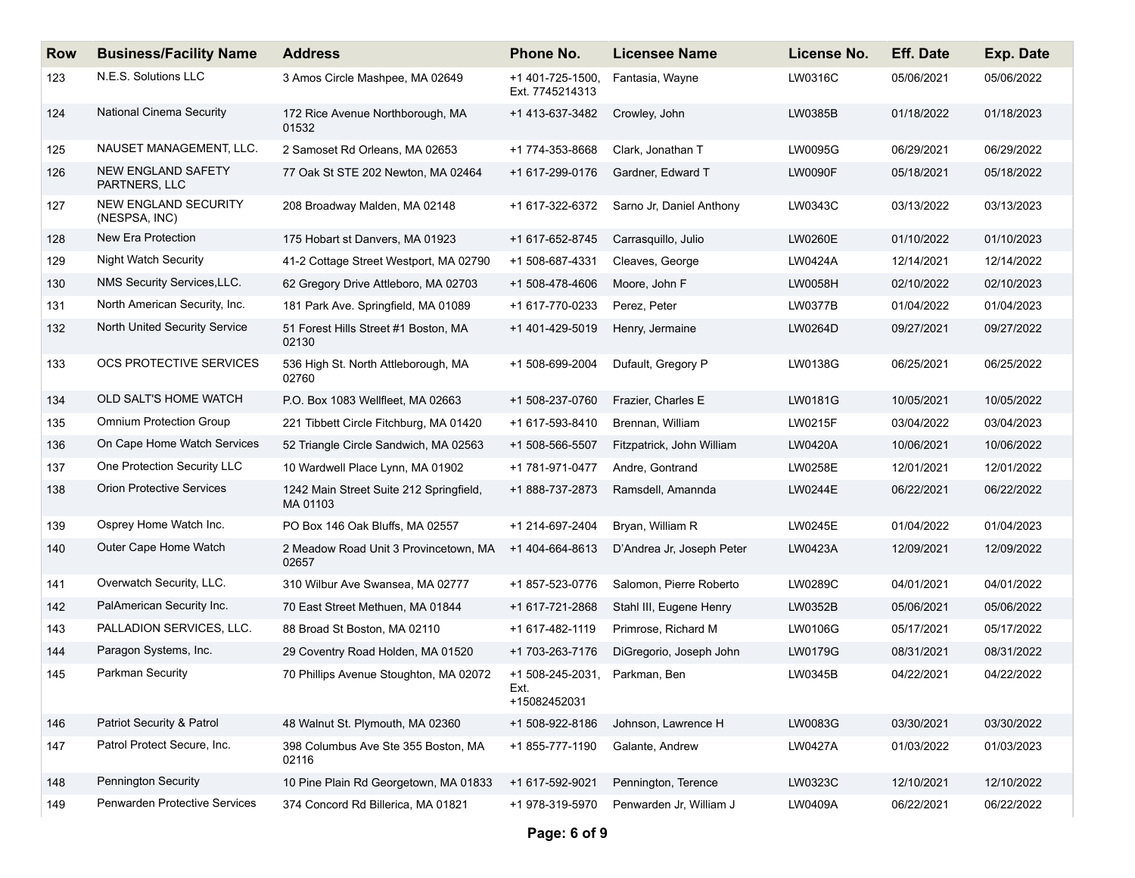| <b>Row</b> | <b>Business/Facility Name</b>              | <b>Address</b>                                      | Phone No.                                | Licensee Name             | License No.    | <b>Eff. Date</b> | Exp. Date  |
|------------|--------------------------------------------|-----------------------------------------------------|------------------------------------------|---------------------------|----------------|------------------|------------|
| 123        | N.E.S. Solutions LLC                       | 3 Amos Circle Mashpee, MA 02649                     | +1 401-725-1500,<br>Ext. 7745214313      | Fantasia, Wayne           | LW0316C        | 05/06/2021       | 05/06/2022 |
| 124        | <b>National Cinema Security</b>            | 172 Rice Avenue Northborough, MA<br>01532           | +1 413-637-3482                          | Crowley, John             | LW0385B        | 01/18/2022       | 01/18/2023 |
| 125        | NAUSET MANAGEMENT, LLC.                    | 2 Samoset Rd Orleans, MA 02653                      | +1 774-353-8668                          | Clark, Jonathan T         | LW0095G        | 06/29/2021       | 06/29/2022 |
| 126        | <b>NEW ENGLAND SAFETY</b><br>PARTNERS, LLC | 77 Oak St STE 202 Newton, MA 02464                  | +1 617-299-0176                          | Gardner, Edward T         | <b>LW0090F</b> | 05/18/2021       | 05/18/2022 |
| 127        | NEW ENGLAND SECURITY<br>(NESPSA, INC)      | 208 Broadway Malden, MA 02148                       | +1 617-322-6372                          | Sarno Jr, Daniel Anthony  | LW0343C        | 03/13/2022       | 03/13/2023 |
| 128        | New Era Protection                         | 175 Hobart st Danvers, MA 01923                     | +1 617-652-8745                          | Carrasquillo, Julio       | LW0260E        | 01/10/2022       | 01/10/2023 |
| 129        | <b>Night Watch Security</b>                | 41-2 Cottage Street Westport, MA 02790              | +1 508-687-4331                          | Cleaves, George           | LW0424A        | 12/14/2021       | 12/14/2022 |
| 130        | NMS Security Services, LLC.                | 62 Gregory Drive Attleboro, MA 02703                | +1 508-478-4606                          | Moore, John F             | LW0058H        | 02/10/2022       | 02/10/2023 |
| 131        | North American Security, Inc.              | 181 Park Ave. Springfield, MA 01089                 | +1 617-770-0233                          | Perez, Peter              | LW0377B        | 01/04/2022       | 01/04/2023 |
| 132        | North United Security Service              | 51 Forest Hills Street #1 Boston, MA<br>02130       | +1 401-429-5019                          | Henry, Jermaine           | LW0264D        | 09/27/2021       | 09/27/2022 |
| 133        | OCS PROTECTIVE SERVICES                    | 536 High St. North Attleborough, MA<br>02760        | +1 508-699-2004                          | Dufault, Gregory P        | LW0138G        | 06/25/2021       | 06/25/2022 |
| 134        | OLD SALT'S HOME WATCH                      | P.O. Box 1083 Wellfleet, MA 02663                   | +1 508-237-0760                          | Frazier, Charles E        | LW0181G        | 10/05/2021       | 10/05/2022 |
| 135        | Omnium Protection Group                    | 221 Tibbett Circle Fitchburg, MA 01420              | +1 617-593-8410                          | Brennan, William          | LW0215F        | 03/04/2022       | 03/04/2023 |
| 136        | On Cape Home Watch Services                | 52 Triangle Circle Sandwich, MA 02563               | +1 508-566-5507                          | Fitzpatrick, John William | LW0420A        | 10/06/2021       | 10/06/2022 |
| 137        | One Protection Security LLC                | 10 Wardwell Place Lynn, MA 01902                    | +1 781-971-0477                          | Andre, Gontrand           | LW0258E        | 12/01/2021       | 12/01/2022 |
| 138        | <b>Orion Protective Services</b>           | 1242 Main Street Suite 212 Springfield,<br>MA 01103 | +1 888-737-2873                          | Ramsdell, Amannda         | LW0244E        | 06/22/2021       | 06/22/2022 |
| 139        | Osprey Home Watch Inc.                     | PO Box 146 Oak Bluffs, MA 02557                     | +1 214-697-2404                          | Bryan, William R          | LW0245E        | 01/04/2022       | 01/04/2023 |
| 140        | Outer Cape Home Watch                      | 2 Meadow Road Unit 3 Provincetown, MA<br>02657      | +1 404-664-8613                          | D'Andrea Jr, Joseph Peter | LW0423A        | 12/09/2021       | 12/09/2022 |
| 141        | Overwatch Security, LLC.                   | 310 Wilbur Ave Swansea, MA 02777                    | +1 857-523-0776                          | Salomon, Pierre Roberto   | LW0289C        | 04/01/2021       | 04/01/2022 |
| 142        | PalAmerican Security Inc.                  | 70 East Street Methuen, MA 01844                    | +1 617-721-2868                          | Stahl III, Eugene Henry   | LW0352B        | 05/06/2021       | 05/06/2022 |
| 143        | PALLADION SERVICES, LLC.                   | 88 Broad St Boston, MA 02110                        | +1 617-482-1119                          | Primrose, Richard M       | LW0106G        | 05/17/2021       | 05/17/2022 |
| 144        | Paragon Systems, Inc.                      | 29 Coventry Road Holden, MA 01520                   | +1 703-263-7176                          | DiGregorio, Joseph John   | LW0179G        | 08/31/2021       | 08/31/2022 |
| 145        | <b>Parkman Security</b>                    | 70 Phillips Avenue Stoughton, MA 02072              | +1 508-245-2031,<br>Ext.<br>+15082452031 | Parkman, Ben              | LW0345B        | 04/22/2021       | 04/22/2022 |
| 146        | Patriot Security & Patrol                  | 48 Walnut St. Plymouth, MA 02360                    | +1 508-922-8186                          | Johnson, Lawrence H       | LW0083G        | 03/30/2021       | 03/30/2022 |
| 147        | Patrol Protect Secure, Inc.                | 398 Columbus Ave Ste 355 Boston, MA<br>02116        | +1 855-777-1190                          | Galante, Andrew           | LW0427A        | 01/03/2022       | 01/03/2023 |
| 148        | <b>Pennington Security</b>                 | 10 Pine Plain Rd Georgetown, MA 01833               | +1 617-592-9021                          | Pennington, Terence       | LW0323C        | 12/10/2021       | 12/10/2022 |
| 149        | Penwarden Protective Services              | 374 Concord Rd Billerica, MA 01821                  | +1 978-319-5970                          | Penwarden Jr, William J   | LW0409A        | 06/22/2021       | 06/22/2022 |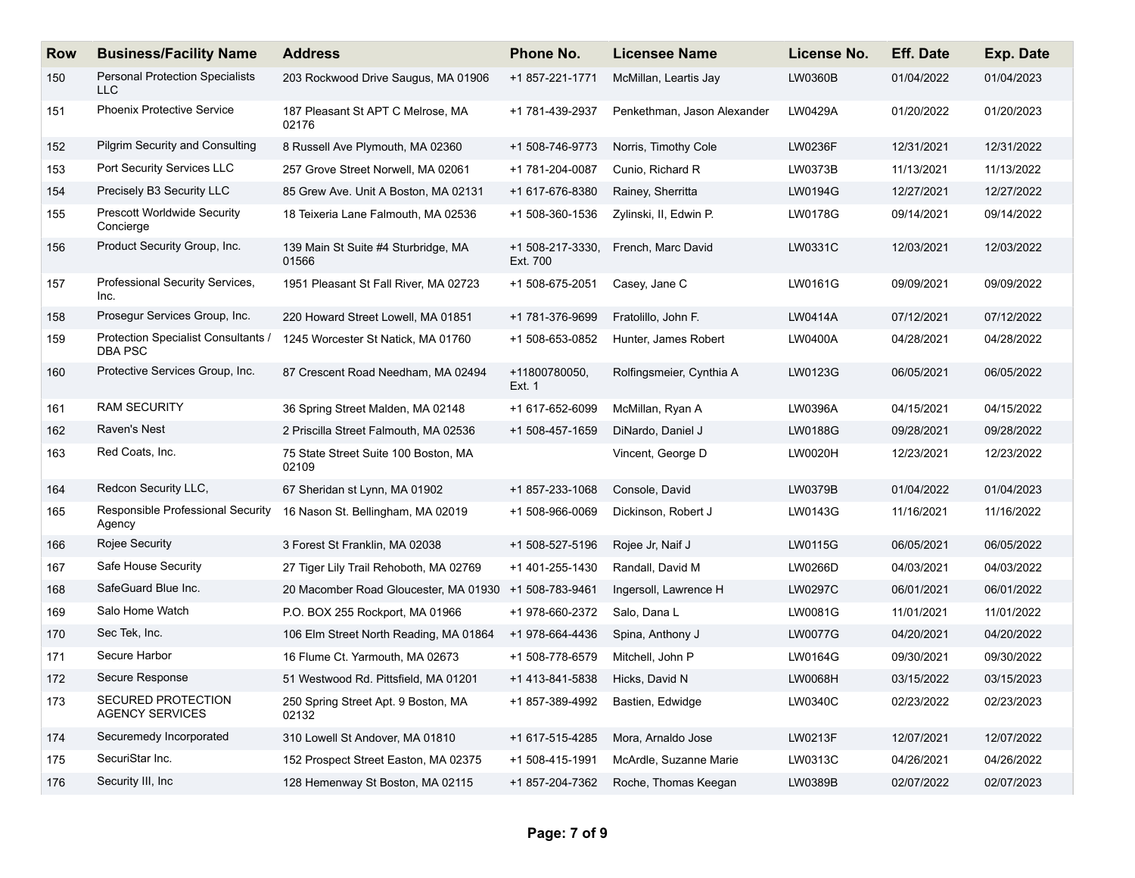| <b>Row</b> | <b>Business/Facility Name</b>                        | <b>Address</b>                                        | <b>Phone No.</b>             | <b>Licensee Name</b>        | License No.    | <b>Eff. Date</b> | Exp. Date  |
|------------|------------------------------------------------------|-------------------------------------------------------|------------------------------|-----------------------------|----------------|------------------|------------|
| 150        | <b>Personal Protection Specialists</b><br><b>LLC</b> | 203 Rockwood Drive Saugus, MA 01906                   | +1 857-221-1771              | McMillan, Leartis Jay       | LW0360B        | 01/04/2022       | 01/04/2023 |
| 151        | <b>Phoenix Protective Service</b>                    | 187 Pleasant St APT C Melrose, MA<br>02176            | +1 781-439-2937              | Penkethman, Jason Alexander | LW0429A        | 01/20/2022       | 01/20/2023 |
| 152        | <b>Pilgrim Security and Consulting</b>               | 8 Russell Ave Plymouth, MA 02360                      | +1 508-746-9773              | Norris, Timothy Cole        | <b>LW0236F</b> | 12/31/2021       | 12/31/2022 |
| 153        | Port Security Services LLC                           | 257 Grove Street Norwell, MA 02061                    | +1 781-204-0087              | Cunio, Richard R            | LW0373B        | 11/13/2021       | 11/13/2022 |
| 154        | Precisely B3 Security LLC                            | 85 Grew Ave. Unit A Boston, MA 02131                  | +1 617-676-8380              | Rainey, Sherritta           | LW0194G        | 12/27/2021       | 12/27/2022 |
| 155        | <b>Prescott Worldwide Security</b><br>Concierge      | 18 Teixeria Lane Falmouth, MA 02536                   | +1 508-360-1536              | Zylinski, II, Edwin P.      | LW0178G        | 09/14/2021       | 09/14/2022 |
| 156        | Product Security Group, Inc.                         | 139 Main St Suite #4 Sturbridge, MA<br>01566          | +1 508-217-3330,<br>Ext. 700 | French, Marc David          | LW0331C        | 12/03/2021       | 12/03/2022 |
| 157        | Professional Security Services,<br>Inc.              | 1951 Pleasant St Fall River, MA 02723                 | +1 508-675-2051              | Casey, Jane C               | LW0161G        | 09/09/2021       | 09/09/2022 |
| 158        | Prosegur Services Group, Inc.                        | 220 Howard Street Lowell, MA 01851                    | +1 781-376-9699              | Fratolillo, John F.         | <b>LW0414A</b> | 07/12/2021       | 07/12/2022 |
| 159        | Protection Specialist Consultants /<br>DBA PSC       | 1245 Worcester St Natick, MA 01760                    | +1 508-653-0852              | Hunter, James Robert        | LW0400A        | 04/28/2021       | 04/28/2022 |
| 160        | Protective Services Group, Inc.                      | 87 Crescent Road Needham, MA 02494                    | +11800780050,<br>Ext. 1      | Rolfingsmeier, Cynthia A    | LW0123G        | 06/05/2021       | 06/05/2022 |
| 161        | <b>RAM SECURITY</b>                                  | 36 Spring Street Malden, MA 02148                     | +1 617-652-6099              | McMillan, Ryan A            | LW0396A        | 04/15/2021       | 04/15/2022 |
| 162        | Raven's Nest                                         | 2 Priscilla Street Falmouth, MA 02536                 | +1 508-457-1659              | DiNardo, Daniel J           | <b>LW0188G</b> | 09/28/2021       | 09/28/2022 |
| 163        | Red Coats, Inc.                                      | 75 State Street Suite 100 Boston, MA<br>02109         |                              | Vincent, George D           | LW0020H        | 12/23/2021       | 12/23/2022 |
| 164        | Redcon Security LLC,                                 | 67 Sheridan st Lynn, MA 01902                         | +1 857-233-1068              | Console, David              | LW0379B        | 01/04/2022       | 01/04/2023 |
| 165        | Responsible Professional Security<br>Agency          | 16 Nason St. Bellingham, MA 02019                     | +1 508-966-0069              | Dickinson, Robert J         | LW0143G        | 11/16/2021       | 11/16/2022 |
| 166        | Rojee Security                                       | 3 Forest St Franklin, MA 02038                        | +1 508-527-5196              | Rojee Jr, Naif J            | <b>LW0115G</b> | 06/05/2021       | 06/05/2022 |
| 167        | Safe House Security                                  | 27 Tiger Lily Trail Rehoboth, MA 02769                | +1 401-255-1430              | Randall, David M            | LW0266D        | 04/03/2021       | 04/03/2022 |
| 168        | SafeGuard Blue Inc.                                  | 20 Macomber Road Gloucester, MA 01930 +1 508-783-9461 |                              | Ingersoll, Lawrence H       | LW0297C        | 06/01/2021       | 06/01/2022 |
| 169        | Salo Home Watch                                      | P.O. BOX 255 Rockport, MA 01966                       | +1 978-660-2372              | Salo, Dana L                | LW0081G        | 11/01/2021       | 11/01/2022 |
| 170        | Sec Tek, Inc.                                        | 106 Elm Street North Reading, MA 01864                | +1 978-664-4436              | Spina, Anthony J            | LW0077G        | 04/20/2021       | 04/20/2022 |
| 171        | Secure Harbor                                        | 16 Flume Ct. Yarmouth, MA 02673                       | +1 508-778-6579              | Mitchell, John P            | LW0164G        | 09/30/2021       | 09/30/2022 |
| 172        | Secure Response                                      | 51 Westwood Rd. Pittsfield, MA 01201                  | +1 413-841-5838              | Hicks, David N              | <b>LW0068H</b> | 03/15/2022       | 03/15/2023 |
| 173        | SECURED PROTECTION<br><b>AGENCY SERVICES</b>         | 250 Spring Street Apt. 9 Boston, MA<br>02132          | +1 857-389-4992              | Bastien, Edwidge            | LW0340C        | 02/23/2022       | 02/23/2023 |
| 174        | Securemedy Incorporated                              | 310 Lowell St Andover, MA 01810                       | +1 617-515-4285              | Mora, Arnaldo Jose          | LW0213F        | 12/07/2021       | 12/07/2022 |
| 175        | SecuriStar Inc.                                      | 152 Prospect Street Easton, MA 02375                  | +1 508-415-1991              | McArdle, Suzanne Marie      | LW0313C        | 04/26/2021       | 04/26/2022 |
| 176        | Security III, Inc                                    | 128 Hemenway St Boston, MA 02115                      | +1 857-204-7362              | Roche, Thomas Keegan        | LW0389B        | 02/07/2022       | 02/07/2023 |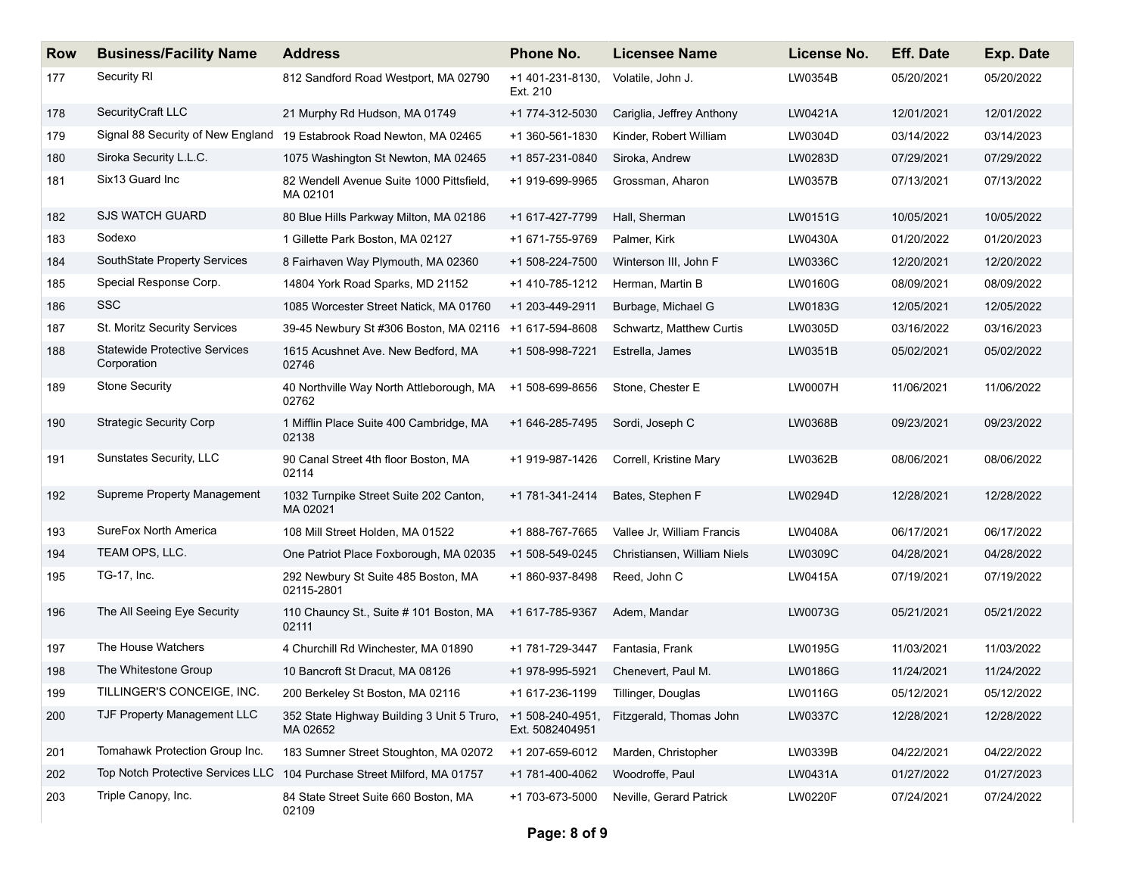| <b>Row</b> | <b>Business/Facility Name</b>                       | <b>Address</b>                                                       | <b>Phone No.</b>                   | <b>Licensee Name</b>        | License No. | <b>Eff. Date</b> | <b>Exp. Date</b> |
|------------|-----------------------------------------------------|----------------------------------------------------------------------|------------------------------------|-----------------------------|-------------|------------------|------------------|
| 177        | Security RI                                         | 812 Sandford Road Westport, MA 02790                                 | +1 401-231-8130,<br>Ext. 210       | Volatile, John J.           | LW0354B     | 05/20/2021       | 05/20/2022       |
| 178        | SecurityCraft LLC                                   | 21 Murphy Rd Hudson, MA 01749                                        | +1 774-312-5030                    | Cariglia, Jeffrey Anthony   | LW0421A     | 12/01/2021       | 12/01/2022       |
| 179        |                                                     | Signal 88 Security of New England 19 Estabrook Road Newton, MA 02465 | +1 360-561-1830                    | Kinder, Robert William      | LW0304D     | 03/14/2022       | 03/14/2023       |
| 180        | Siroka Security L.L.C.                              | 1075 Washington St Newton, MA 02465                                  | +1 857-231-0840                    | Siroka, Andrew              | LW0283D     | 07/29/2021       | 07/29/2022       |
| 181        | Six13 Guard Inc                                     | 82 Wendell Avenue Suite 1000 Pittsfield,<br>MA 02101                 | +1 919-699-9965                    | Grossman, Aharon            | LW0357B     | 07/13/2021       | 07/13/2022       |
| 182        | <b>SJS WATCH GUARD</b>                              | 80 Blue Hills Parkway Milton, MA 02186                               | +1 617-427-7799                    | Hall, Sherman               | LW0151G     | 10/05/2021       | 10/05/2022       |
| 183        | Sodexo                                              | 1 Gillette Park Boston, MA 02127                                     | +1 671-755-9769                    | Palmer, Kirk                | LW0430A     | 01/20/2022       | 01/20/2023       |
| 184        | SouthState Property Services                        | 8 Fairhaven Way Plymouth, MA 02360                                   | +1 508-224-7500                    | Winterson III, John F       | LW0336C     | 12/20/2021       | 12/20/2022       |
| 185        | Special Response Corp.                              | 14804 York Road Sparks, MD 21152                                     | +1 410-785-1212                    | Herman, Martin B            | LW0160G     | 08/09/2021       | 08/09/2022       |
| 186        | <b>SSC</b>                                          | 1085 Worcester Street Natick, MA 01760                               | +1 203-449-2911                    | Burbage, Michael G          | LW0183G     | 12/05/2021       | 12/05/2022       |
| 187        | St. Moritz Security Services                        | 39-45 Newbury St #306 Boston, MA 02116 +1 617-594-8608               |                                    | Schwartz, Matthew Curtis    | LW0305D     | 03/16/2022       | 03/16/2023       |
| 188        | <b>Statewide Protective Services</b><br>Corporation | 1615 Acushnet Ave. New Bedford, MA<br>02746                          | +1 508-998-7221                    | Estrella, James             | LW0351B     | 05/02/2021       | 05/02/2022       |
| 189        | <b>Stone Security</b>                               | 40 Northville Way North Attleborough, MA<br>02762                    | +1 508-699-8656                    | Stone, Chester E            | LW0007H     | 11/06/2021       | 11/06/2022       |
| 190        | <b>Strategic Security Corp</b>                      | 1 Mifflin Place Suite 400 Cambridge, MA<br>02138                     | +1 646-285-7495                    | Sordi, Joseph C             | LW0368B     | 09/23/2021       | 09/23/2022       |
| 191        | Sunstates Security, LLC                             | 90 Canal Street 4th floor Boston, MA<br>02114                        | +1 919-987-1426                    | Correll, Kristine Mary      | LW0362B     | 08/06/2021       | 08/06/2022       |
| 192        | Supreme Property Management                         | 1032 Turnpike Street Suite 202 Canton,<br>MA 02021                   | +1 781-341-2414                    | Bates, Stephen F            | LW0294D     | 12/28/2021       | 12/28/2022       |
| 193        | SureFox North America                               | 108 Mill Street Holden, MA 01522                                     | +1 888-767-7665                    | Vallee Jr, William Francis  | LW0408A     | 06/17/2021       | 06/17/2022       |
| 194        | TEAM OPS, LLC.                                      | One Patriot Place Foxborough, MA 02035                               | +1 508-549-0245                    | Christiansen, William Niels | LW0309C     | 04/28/2021       | 04/28/2022       |
| 195        | TG-17, Inc.                                         | 292 Newbury St Suite 485 Boston, MA<br>02115-2801                    | +1 860-937-8498                    | Reed, John C                | LW0415A     | 07/19/2021       | 07/19/2022       |
| 196        | The All Seeing Eye Security                         | 110 Chauncy St., Suite # 101 Boston, MA<br>02111                     | +1 617-785-9367                    | Adem, Mandar                | LW0073G     | 05/21/2021       | 05/21/2022       |
| 197        | The House Watchers                                  | 4 Churchill Rd Winchester, MA 01890                                  | +1 781-729-3447                    | Fantasia, Frank             | LW0195G     | 11/03/2021       | 11/03/2022       |
| 198        | The Whitestone Group                                | 10 Bancroft St Dracut, MA 08126                                      | +1 978-995-5921                    | Chenevert, Paul M.          | LW0186G     | 11/24/2021       | 11/24/2022       |
| 199        | TILLINGER'S CONCEIGE, INC.                          | 200 Berkeley St Boston, MA 02116                                     | +1 617-236-1199                    | Tillinger, Douglas          | LW0116G     | 05/12/2021       | 05/12/2022       |
| 200        | TJF Property Management LLC                         | 352 State Highway Building 3 Unit 5 Truro,<br>MA 02652               | +1 508-240-4951<br>Ext. 5082404951 | Fitzgerald, Thomas John     | LW0337C     | 12/28/2021       | 12/28/2022       |
| 201        | Tomahawk Protection Group Inc.                      | 183 Sumner Street Stoughton, MA 02072                                | +1 207-659-6012                    | Marden, Christopher         | LW0339B     | 04/22/2021       | 04/22/2022       |
| 202        | Top Notch Protective Services LLC                   | 104 Purchase Street Milford, MA 01757                                | +1 781-400-4062                    | Woodroffe, Paul             | LW0431A     | 01/27/2022       | 01/27/2023       |
| 203        | Triple Canopy, Inc.                                 | 84 State Street Suite 660 Boston, MA<br>02109                        | +1 703-673-5000                    | Neville, Gerard Patrick     | LW0220F     | 07/24/2021       | 07/24/2022       |